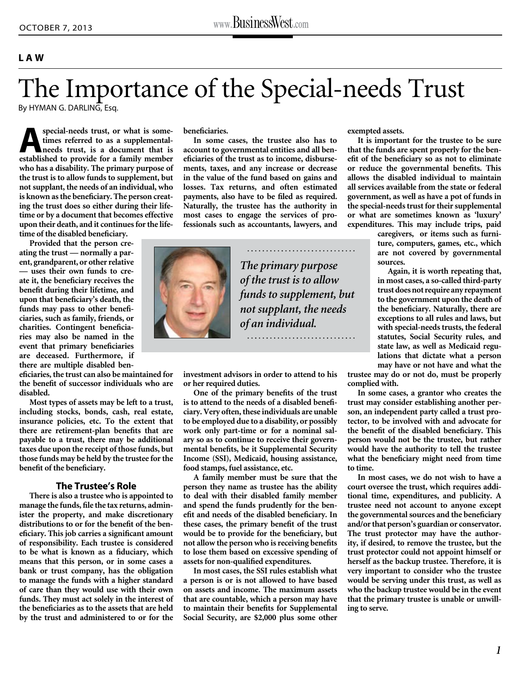## **LAW**

## The Importance of the Special-needs Trust

By HYMAN G. DARLING, Esq.

special-needs trust, or what is some-<br>times referred to as a supplemental-<br>needs trust, is a document that is<br>established to provide for a family member **times referred to as a supplementalneeds trust, is a document that is established to provide for a family member who has a disability. The primary purpose of the trust is to allow funds to supplement, but not supplant, the needs of an individual, who is known as the beneficiary. The person creating the trust does so either during their lifetime or by a document that becomes effective upon their death, and it continues for the lifetime of the disabled beneficiary.** 

**Provided that the person creating the trust — normally a parent, grandparent, or other relative — uses their own funds to create it, the beneficiary receives the benefit during their lifetime, and upon that beneficiary's death, the funds may pass to other beneficiaries, such as family, friends, or charities. Contingent beneficiaries may also be named in the event that primary beneficiaries are deceased. Furthermore, if there are multiple disabled ben-**

**eficiaries, the trust can also be maintained for the benefit of successor individuals who are disabled.**

**Most types of assets may be left to a trust, including stocks, bonds, cash, real estate, insurance policies, etc. To the extent that there are retirement-plan benefits that are payable to a trust, there may be additional taxes due upon the receipt of those funds, but those funds may be held by the trustee for the benefit of the beneficiary.** 

## **The Trustee's Role**

**There is also a trustee who is appointed to manage the funds, file the tax returns, administer the property, and make discretionary distributions to or for the benefit of the beneficiary. This job carries a significant amount of responsibility. Each trustee is considered to be what is known as a fiduciary, which means that this person, or in some cases a bank or trust company, has the obligation to manage the funds with a higher standard of care than they would use with their own funds. They must act solely in the interest of the beneficiaries as to the assets that are held by the trust and administered to or for the** 

**beneficiaries.** 

**In some cases, the trustee also has to account to governmental entities and all beneficiaries of the trust as to income, disbursements, taxes, and any increase or decrease in the value of the fund based on gains and losses. Tax returns, and often estimated payments, also have to be filed as required. Naturally, the trustee has the authority in most cases to engage the services of professionals such as accountants, lawyers, and** 

**investment advisors in order to attend to his** 

**One of the primary benefits of the trust is to attend to the needs of a disabled beneficiary. Very often, these individuals are unable to be employed due to a disability, or possibly work only part-time or for a nominal salary so as to continue to receive their governmental benefits, be it Supplemental Security Income (SSI), Medicaid, housing assistance,** 

**A family member must be sure that the person they name as trustee has the ability to deal with their disabled family member and spend the funds prudently for the benefit and needs of the disabled beneficiary. In these cases, the primary benefit of the trust would be to provide for the beneficiary, but not allow the person who is receiving benefits to lose them based on excessive spending of assets for non-qualified expenditures.** 

**In most cases, the SSI rules establish what a person is or is not allowed to have based on assets and income. The maximum assets that are countable, which a person may have to maintain their benefits for Supplemental Social Security, are \$2,000 plus some other** 

**or her required duties.** 

**food stamps, fuel assistance, etc.**



*The primary purpose of the trust is to allow funds to supplement, but not supplant, the needs of an individual.*

**exempted assets.** 

**It is important for the trustee to be sure that the funds are spent properly for the benefit of the beneficiary so as not to eliminate or reduce the governmental benefits. This allows the disabled individual to maintain all services available from the state or federal government, as well as have a pot of funds in the special-needs trust for their supplemental or what are sometimes known as 'luxury' expenditures. This may include trips, paid** 

> **caregivers, or items such as furniture, computers, games, etc., which are not covered by governmental sources.**

> **Again, it is worth repeating that, in most cases, a so-called third-party trust does not require any repayment to the government upon the death of the beneficiary. Naturally, there are exceptions to all rules and laws, but with special-needs trusts, the federal statutes, Social Security rules, and state law, as well as Medicaid regulations that dictate what a person may have or not have and what the**

**trustee may do or not do, must be properly complied with.** 

**In some cases, a grantor who creates the trust may consider establishing another person, an independent party called a trust protector, to be involved with and advocate for the benefit of the disabled beneficiary. This person would not be the trustee, but rather would have the authority to tell the trustee what the beneficiary might need from time to time.**

**In most cases, we do not wish to have a court oversee the trust, which requires additional time, expenditures, and publicity. A trustee need not account to anyone except the governmental sources and the beneficiary and/or that person's guardian or conservator. The trust protector may have the authority, if desired, to remove the trustee, but the trust protector could not appoint himself or herself as the backup trustee. Therefore, it is very important to consider who the trustee would be serving under this trust, as well as who the backup trustee would be in the event that the primary trustee is unable or unwilling to serve.**